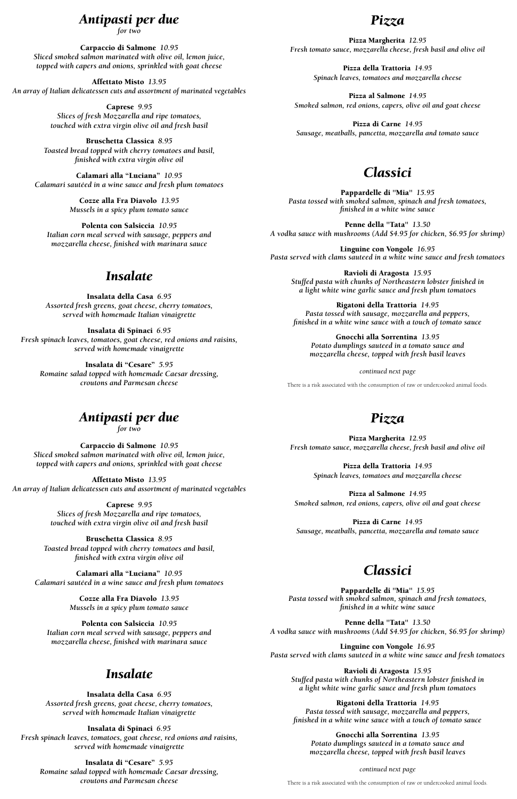#### *Antipasti per due*

*for two*

Carpaccio di Salmone *10.95 Sliced smoked salmon marinated with olive oil, lemon juice, topped with capers and onions, sprinkled with goat cheese*

Affettato Misto *13.95 An array of Italian delicatessen cuts and assortment of marinated vegetables*

> Caprese *9.95 Slices of fresh Mozzarella and ripe tomatoes, touched with extra virgin olive oil and fresh basil*

Bruschetta Classica *8.95 Toasted bread topped with cherry tomatoes and basil, finished with extra virgin olive oil*

Calamari alla "Luciana" *10.95 Calamari sautéed in a wine sauce and fresh plum tomatoes*

> Cozze alla Fra Diavolo *13.95 Mussels in a spicy plum tomato sauce*

Polenta con Salsiccia *10.95 Italian corn meal served with sausage, peppers and mozzarella cheese, finished with marinara sauce*

#### *Insalate*

Insalata della Casa *6.95 Assorted fresh greens, goat cheese, cherry tomatoes, served with homemade Italian vinaigrette*

Insalata di Spinaci *6.95 Fresh spinach leaves, tomatoes, goat cheese, red onions and raisins, served with homemade vinaigrette*

Insalata di "Cesare" *5.95 Romaine salad topped with homemade Caesar dressing, croutons and Parmesan cheese*

#### *Pizza*

Pizza Margherita *12.95 Fresh tomato sauce, mozzarella cheese, fresh basil and olive oil*

> Pizza della Trattoria *14.95 Spinach leaves, tomatoes and mozzarella cheese*

Pizza al Salmone *14.95 Smoked salmon, red onions, capers, olive oil and goat cheese*

Pizza di Carne*14.95 Sausage, meatballs, pancetta, mozzarella and tomato sauce*

## *Classici*

Pappardelle di "Mia" *15.95 Pasta tossed with smoked salmon, spinach and fresh tomatoes, finished in a white wine sauce*

Penne della "Tata" *13.50 A vodka sauce with mushrooms (Add \$4.95 for chicken, \$6.95 for shrimp)*

Linguine con Vongole *16.95 Pasta served with clams sauteed in a white wine sauce and fresh tomatoes*

Ravioli di Aragosta *15.95 Stuffed pasta with chunks of Northeastern lobster finished in a light white wine garlic sauce and fresh plum tomatoes*

Rigatoni della Trattoria *14.95 Pasta tossed with sausage, mozzarella and peppers, finished in a white wine sauce with a touch of tomato sauce*

Gnocchi alla Sorrentina *13.95 Potato dumplings sauteed in a tomato sauce and mozzarella cheese, topped with fresh basil leaves*

*continued next page*

There is a risk associated with the consumption of raw or undercooked animal foods.

## *Antipasti per due*

*for two*

Carpaccio di Salmone *10.95 Sliced smoked salmon marinated with olive oil, lemon juice, topped with capers and onions, sprinkled with goat cheese*

Affettato Misto *13.95 An array of Italian delicatessen cuts and assortment of marinated vegetables*

> Caprese *9.95 Slices of fresh Mozzarella and ripe tomatoes, touched with extra virgin olive oil and fresh basil*

Bruschetta Classica *8.95 Toasted bread topped with cherry tomatoes and basil, finished with extra virgin olive oil*

Calamari alla "Luciana" *10.95 Calamari sautéed in a wine sauce and fresh plum tomatoes*

> Cozze alla Fra Diavolo *13.95 Mussels in a spicy plum tomato sauce*

Polenta con Salsiccia *10.95 Italian corn meal served with sausage, peppers and mozzarella cheese, finished with marinara sauce*

#### *Insalate*

Insalata della Casa *6.95 Assorted fresh greens, goat cheese, cherry tomatoes, served with homemade Italian vinaigrette*

Insalata di Spinaci *6.95 Fresh spinach leaves, tomatoes, goat cheese, red onions and raisins, served with homemade vinaigrette*

Insalata di "Cesare" *5.95 Romaine salad topped with homemade Caesar dressing, croutons and Parmesan cheese*

## *Pizza*

Pizza Margherita *12.95 Fresh tomato sauce, mozzarella cheese, fresh basil and olive oil*

> Pizza della Trattoria *14.95 Spinach leaves, tomatoes and mozzarella cheese*

Pizza al Salmone *14.95 Smoked salmon, red onions, capers, olive oil and goat cheese*

Pizza di Carne*14.95 Sausage, meatballs, pancetta, mozzarella and tomato sauce*

# *Classici*

Pappardelle di "Mia" *15.95 Pasta tossed with smoked salmon, spinach and fresh tomatoes, finished in a white wine sauce*

Penne della "Tata" *13.50 A vodka sauce with mushrooms (Add \$4.95 for chicken, \$6.95 for shrimp)*

Linguine con Vongole *16.95 Pasta served with clams sauteed in a white wine sauce and fresh tomatoes*

Ravioli di Aragosta *15.95 Stuffed pasta with chunks of Northeastern lobster finished in a light white wine garlic sauce and fresh plum tomatoes*

Rigatoni della Trattoria *14.95 Pasta tossed with sausage, mozzarella and peppers, finished in a white wine sauce with a touch of tomato sauce*

Gnocchi alla Sorrentina *13.95 Potato dumplings sauteed in a tomato sauce and mozzarella cheese, topped with fresh basil leaves*

*continued next page*

There is a risk associated with the consumption of raw or undercooked animal foods.